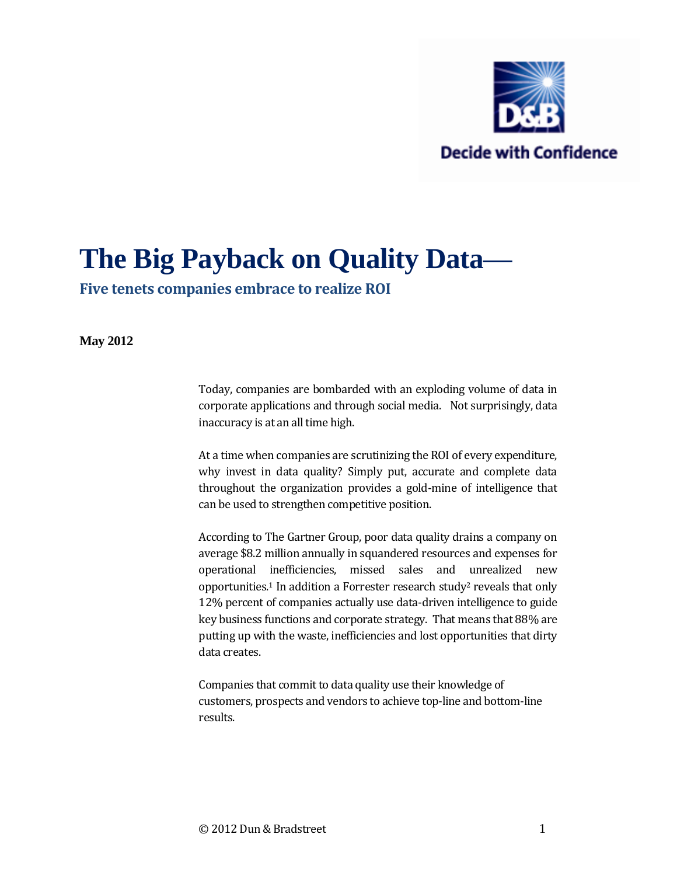

# **The Big Payback on Quality Data—**

**Five tenets companies embrace to realize ROI**

#### **May 2012**

Today, companies are bombarded with an exploding volume of data in corporate applications and through social media. Not surprisingly, data inaccuracy is at an all time high.

At a time when companies are scrutinizing the ROI of every expenditure, why invest in data quality? Simply put, accurate and complete data throughout the organization provides a gold-mine of intelligence that can be used to strengthen competitive position.

According to The Gartner Group, poor data quality drains a company on average \$8.2 million annually in squandered resources and expenses for operational inefficiencies, missed sales and unrealized new opportunities.1 In addition a Forrester research study2 reveals that only 12% percent of companies actually use data-driven intelligence to guide key business functions and corporate strategy. That means that 88% are putting up with the waste, inefficiencies and lost opportunities that dirty data creates.

Companies that commit to data quality use their knowledge of customers, prospects and vendors to achieve top-line and bottom-line results.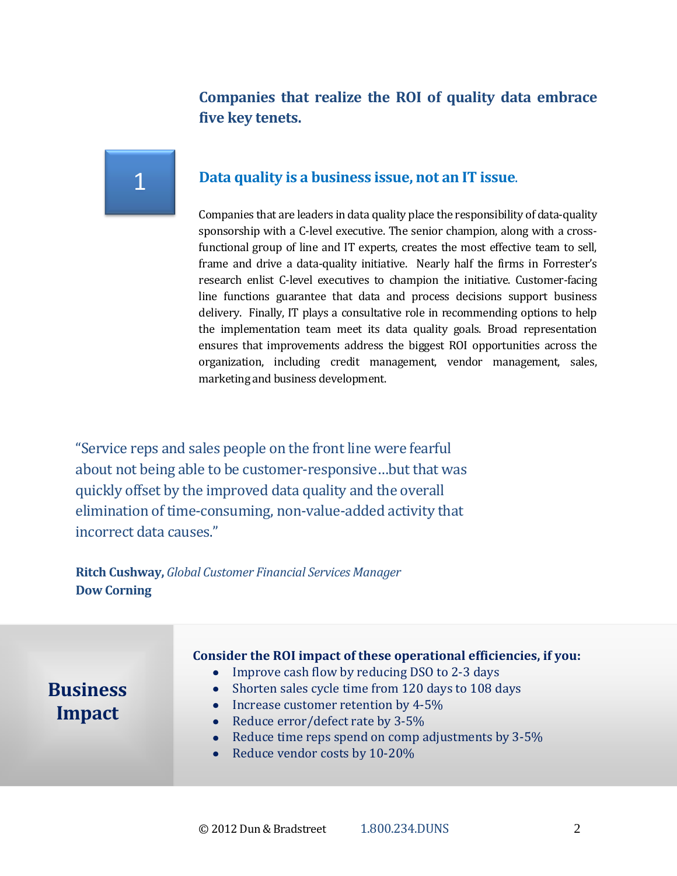## **Companies that realize the ROI of quality data embrace five key tenets.**

## 1

## **Data quality is a business issue, not an IT issue**.

Companies that are leaders in data quality place the responsibility of data-quality sponsorship with a C-level executive. The senior champion, along with a crossfunctional group of line and IT experts, creates the most effective team to sell, frame and drive a data-quality initiative. Nearly half the firms in Forrester's research enlist C-level executives to champion the initiative. Customer-facing line functions guarantee that data and process decisions support business delivery. Finally, IT plays a consultative role in recommending options to help the implementation team meet its data quality goals. Broad representation ensures that improvements address the biggest ROI opportunities across the organization, including credit management, vendor management, sales, marketing and business development.

"Service reps and sales people on the front line were fearful about not being able to be customer-responsive…but that was quickly offset by the improved data quality and the overall elimination of time-consuming, non-value-added activity that incorrect data causes."

**Ritch Cushway,** *Global Customer Financial Services Manager*  **Dow Corning**

#### **Consider the ROI impact of these operational efficiencies, if you:**  Improve cash flow by reducing DSO to 2-3 days  $\bullet$ **Business**  Shorten sales cycle time from 120 days to 108 days • Increase customer retention by  $4-5\%$ **Impact**Reduce error/defect rate by 3-5% Reduce time reps spend on comp adjustments by 3-5%  $\bullet$ Reduce vendor costs by 10-20%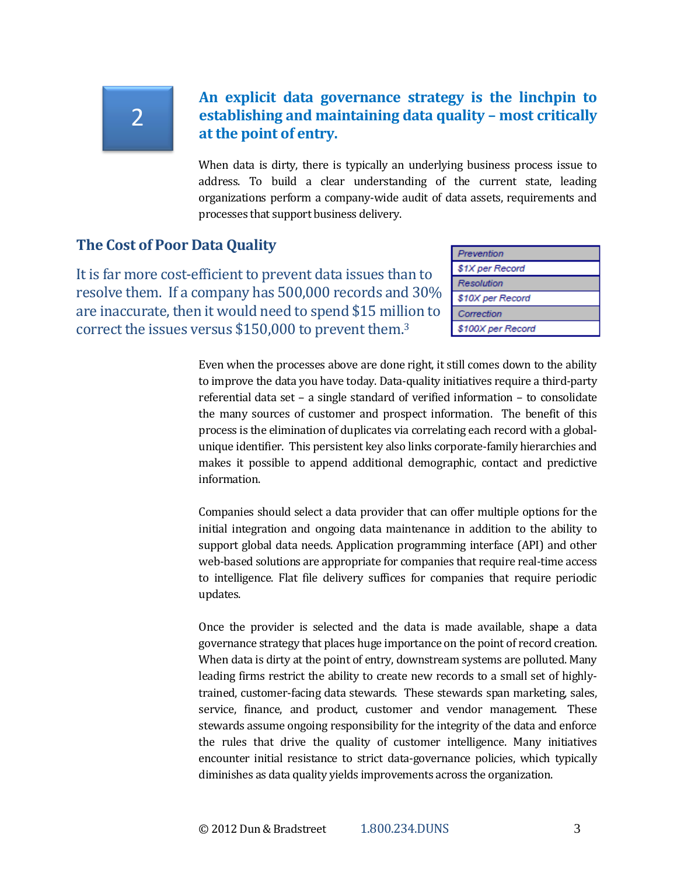# 2

## **An explicit data governance strategy is the linchpin to establishing and maintaining data quality – most critically at the point of entry.**

When data is dirty, there is typically an underlying business process issue to address. To build a clear understanding of the current state, leading organizations perform a company-wide audit of data assets, requirements and processes that support business delivery.

## **The Cost of Poor Data Quality**

It is far more cost-efficient to prevent data issues than to resolve them. If a company has 500,000 records and 30% are inaccurate, then it would need to spend \$15 million to correct the issues versus \$150,000 to prevent them.<sup>3</sup>

| Prevention        |
|-------------------|
| \$1X per Record   |
| Resolution        |
| \$10X per Record  |
| Correction        |
| \$100X per Record |

Even when the processes above are done right, it still comes down to the ability to improve the data you have today. Data-quality initiatives require a third-party referential data set – a single standard of verified information – to consolidate the many sources of customer and prospect information. The benefit of this process is the elimination of duplicates via correlating each record with a globalunique identifier. This persistent key also links corporate-family hierarchies and makes it possible to append additional demographic, contact and predictive information.

Companies should select a data provider that can offer multiple options for the initial integration and ongoing data maintenance in addition to the ability to support global data needs. Application programming interface (API) and other web-based solutions are appropriate for companies that require real-time access to intelligence. Flat file delivery suffices for companies that require periodic updates.

Once the provider is selected and the data is made available, shape a data governance strategy that places huge importance on the point of record creation. When data is dirty at the point of entry, downstream systems are polluted. Many leading firms restrict the ability to create new records to a small set of highlytrained, customer-facing data stewards. These stewards span marketing, sales, service, finance, and product, customer and vendor management. These stewards assume ongoing responsibility for the integrity of the data and enforce the rules that drive the quality of customer intelligence. Many initiatives encounter initial resistance to strict data-governance policies, which typically diminishes as data quality yields improvements across the organization.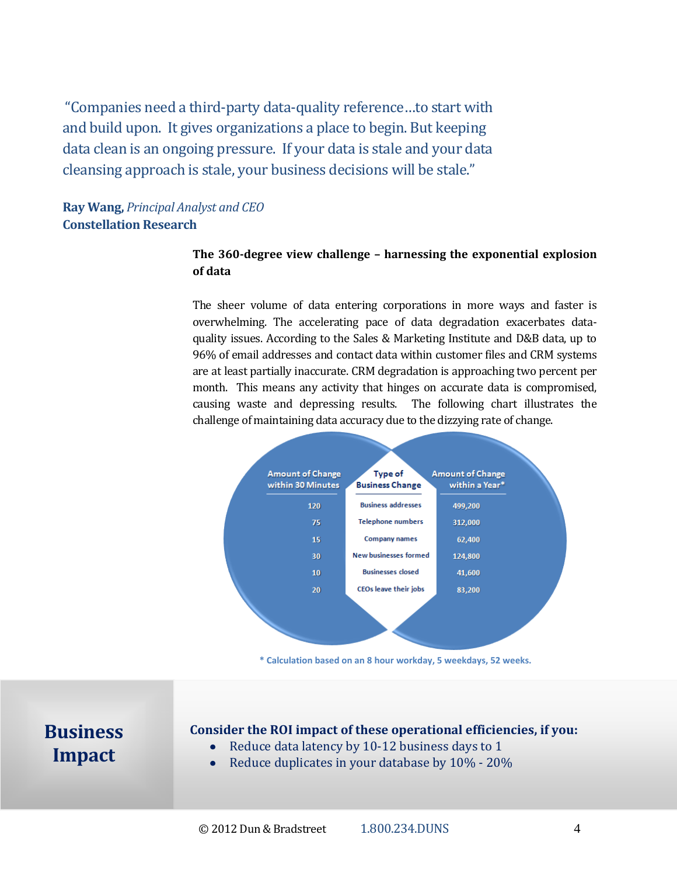"Companies need a third-party data-quality reference…to start with and build upon. It gives organizations a place to begin. But keeping data clean is an ongoing pressure. If your data is stale and your data cleansing approach is stale, your business decisions will be stale."

## **Ray Wang,** *Principal Analyst and CEO*  **Constellation Research**

### **The 360-degree view challenge – harnessing the exponential explosion of data**

The sheer volume of data entering corporations in more ways and faster is overwhelming. The accelerating pace of data degradation exacerbates dataquality issues. According to the Sales & Marketing Institute and D&B data, up to 96% of email addresses and contact data within customer files and CRM systems are at least partially inaccurate. CRM degradation is approaching two percent per month. This means any activity that hinges on accurate data is compromised, causing waste and depressing results. The following chart illustrates the challenge of maintaining data accuracy due to the dizzying rate of change.



**\* Calculation based on an 8 hour workday, 5 weekdays, 52 weeks.**

**Business Impact**

#### **Consider the ROI impact of these operational efficiencies, if you:**

- Reduce data latency by 10-12 business days to 1  $\bullet$
- Reduce duplicates in your database by 10% 20%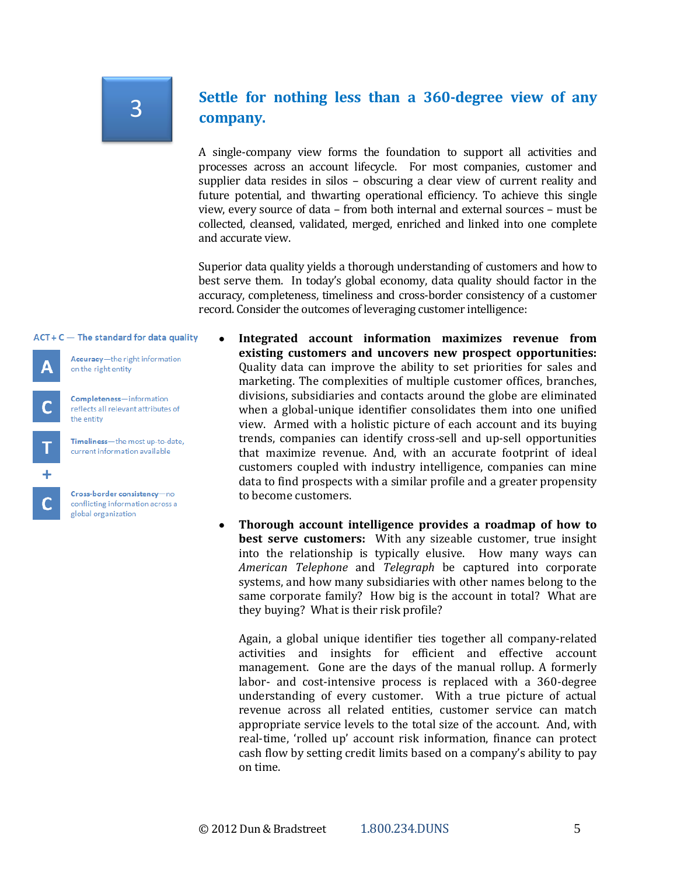# 3

## **Settle for nothing less than a 360-degree view of any company.**

A single-company view forms the foundation to support all activities and processes across an account lifecycle. For most companies, customer and supplier data resides in silos – obscuring a clear view of current reality and future potential, and thwarting operational efficiency. To achieve this single view, every source of data – from both internal and external sources – must be collected, cleansed, validated, merged, enriched and linked into one complete and accurate view.

Superior data quality yields a thorough understanding of customers and how to best serve them. In today's global economy, data quality should factor in the accuracy, completeness, timeliness and cross-border consistency of a customer record. Consider the outcomes of leveraging customer intelligence:

 $ACT + C$  The standard for data quality



Accuracy-the right information on the right entity

Completeness-information reflects all relevant attributes of the entity



Timeliness-the most up-to-date, current information available

Cross-border consistency-no conflicting information across a global organization

- **Integrated account information maximizes revenue from existing customers and uncovers new prospect opportunities:** Quality data can improve the ability to set priorities for sales and marketing. The complexities of multiple customer offices, branches, divisions, subsidiaries and contacts around the globe are eliminated when a global-unique identifier consolidates them into one unified view. Armed with a holistic picture of each account and its buying trends, companies can identify cross-sell and up-sell opportunities that maximize revenue. And, with an accurate footprint of ideal customers coupled with industry intelligence, companies can mine data to find prospects with a similar profile and a greater propensity to become customers.
- **Thorough account intelligence provides a roadmap of how to**   $\bullet$ **best serve customers:** With any sizeable customer, true insight into the relationship is typically elusive. How many ways can *American Telephone* and *Telegraph* be captured into corporate systems, and how many subsidiaries with other names belong to the same corporate family? How big is the account in total? What are they buying? What is their risk profile?

Again, a global unique identifier ties together all company-related activities and insights for efficient and effective account management. Gone are the days of the manual rollup. A formerly labor- and cost-intensive process is replaced with a 360-degree understanding of every customer. With a true picture of actual revenue across all related entities, customer service can match appropriate service levels to the total size of the account. And, with real-time, 'rolled up' account risk information, finance can protect cash flow by setting credit limits based on a company's ability to pay on time.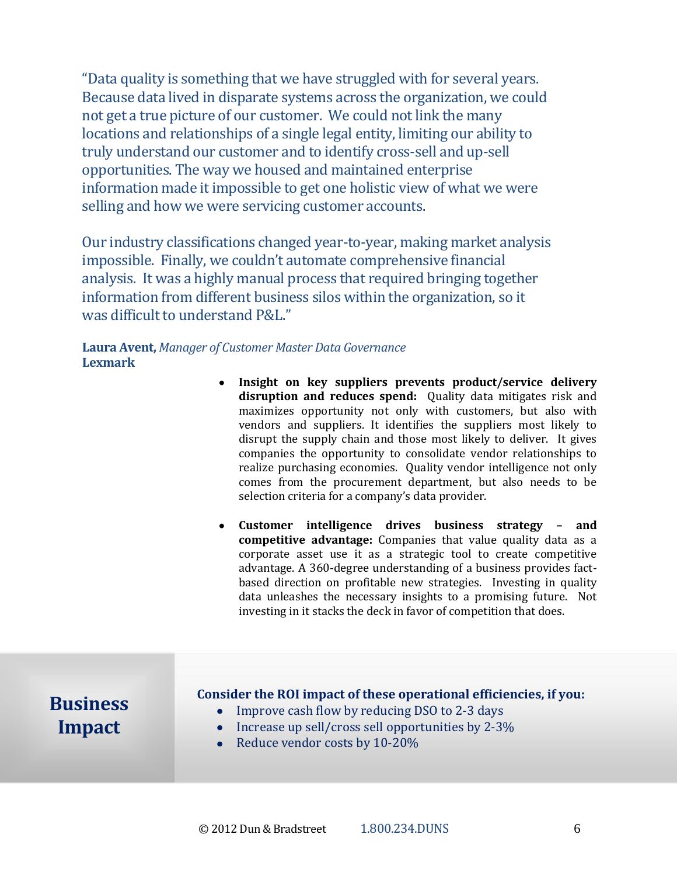"Data quality is something that we have struggled with for several years. Because data lived in disparate systems across the organization, we could not get a true picture of our customer. We could not link the many locations and relationships of a single legal entity, limiting our ability to truly understand our customer and to identify cross-sell and up-sell opportunities. The way we housed and maintained enterprise information made it impossible to get one holistic view of what we were selling and how we were servicing customer accounts.

Our industry classifications changed year-to-year, making market analysis impossible. Finally, we couldn't automate comprehensive financial analysis. It was a highly manual process that required bringing together information from different business silos within the organization, so it was difficult to understand P&L."

**Laura Avent,** *Manager of Customer Master Data Governance* **Lexmark**

- **Insight on key suppliers prevents product/service delivery disruption and reduces spend:** Quality data mitigates risk and maximizes opportunity not only with customers, but also with vendors and suppliers. It identifies the suppliers most likely to disrupt the supply chain and those most likely to deliver. It gives companies the opportunity to consolidate vendor relationships to realize purchasing economies. Quality vendor intelligence not only comes from the procurement department, but also needs to be selection criteria for a company's data provider.
- **Customer intelligence drives business strategy – and competitive advantage:** Companies that value quality data as a corporate asset use it as a strategic tool to create competitive advantage. A 360-degree understanding of a business provides factbased direction on profitable new strategies. Investing in quality data unleashes the necessary insights to a promising future. Not investing in it stacks the deck in favor of competition that does.

**Business Impact**

### **Consider the ROI impact of these operational efficiencies, if you:**

- Improve cash flow by reducing DSO to 2-3 days
- $\bullet$  Increase up sell/cross sell opportunities by 2-3%
- Reduce vendor costs by 10-20%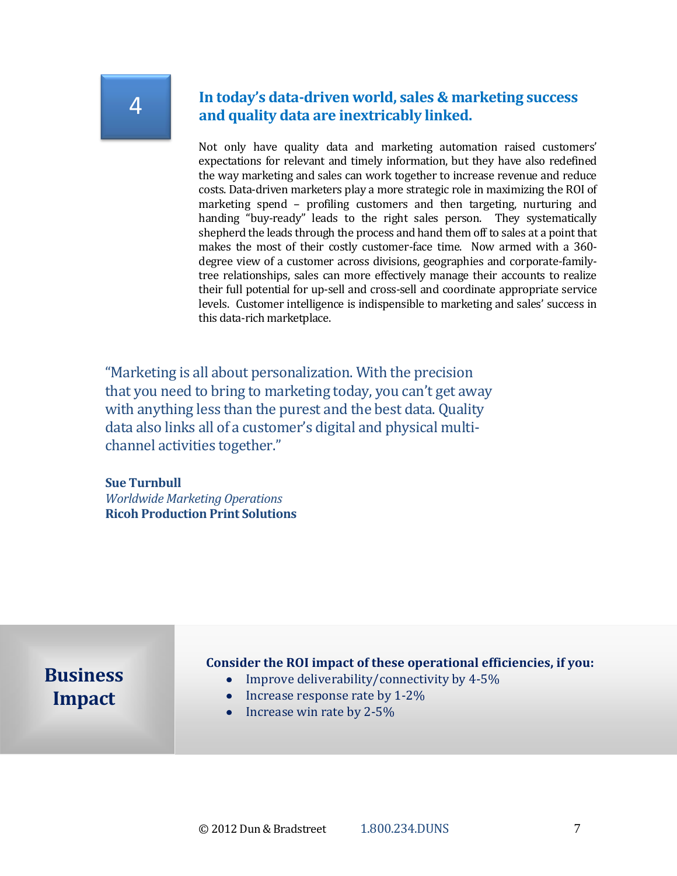## 4

## **In today's data-driven world, sales & marketing success and quality data are inextricably linked.**

Not only have quality data and marketing automation raised customers' expectations for relevant and timely information, but they have also redefined the way marketing and sales can work together to increase revenue and reduce costs. Data-driven marketers play a more strategic role in maximizing the ROI of marketing spend – profiling customers and then targeting, nurturing and handing "buy-ready" leads to the right sales person. They systematically shepherd the leads through the process and hand them off to sales at a point that makes the most of their costly customer-face time. Now armed with a 360 degree view of a customer across divisions, geographies and corporate-familytree relationships, sales can more effectively manage their accounts to realize their full potential for up-sell and cross-sell and coordinate appropriate service levels. Customer intelligence is indispensible to marketing and sales' success in this data-rich marketplace.

"Marketing is all about personalization. With the precision that you need to bring to marketing today, you can't get away with anything less than the purest and the best data. Quality data also links all of a customer's digital and physical multichannel activities together."

#### **Sue Turnbull**

*Worldwide Marketing Operations*  **Ricoh Production Print Solutions** 

## **Business Impact**

#### **Consider the ROI impact of these operational efficiencies, if you:**

- Improve deliverability/connectivity by 4-5%
- $\bullet$  Increase response rate by 1-2%
- $\bullet$  Increase win rate by 2-5%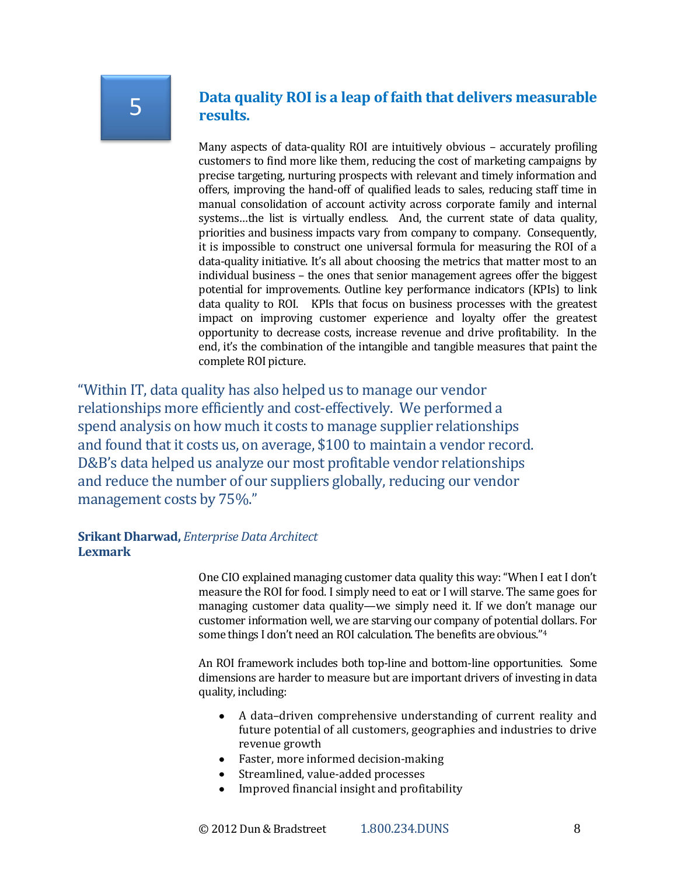## **Data quality ROI is a leap of faith that delivers measurable results.**

Many aspects of data-quality ROI are intuitively obvious – accurately profiling customers to find more like them, reducing the cost of marketing campaigns by precise targeting, nurturing prospects with relevant and timely information and offers, improving the hand-off of qualified leads to sales, reducing staff time in manual consolidation of account activity across corporate family and internal systems…the list is virtually endless. And, the current state of data quality, priorities and business impacts vary from company to company. Consequently, it is impossible to construct one universal formula for measuring the ROI of a data-quality initiative. It's all about choosing the metrics that matter most to an individual business – the ones that senior management agrees offer the biggest potential for improvements. Outline key performance indicators (KPIs) to link data quality to ROI. KPIs that focus on business processes with the greatest impact on improving customer experience and loyalty offer the greatest opportunity to decrease costs, increase revenue and drive profitability. In the end, it's the combination of the intangible and tangible measures that paint the complete ROI picture.

"Within IT, data quality has also helped us to manage our vendor relationships more efficiently and cost-effectively. We performed a spend analysis on how much it costs to manage supplier relationships and found that it costs us, on average, \$100 to maintain a vendor record. D&B's data helped us analyze our most profitable vendor relationships and reduce the number of our suppliers globally, reducing our vendor management costs by 75%."

### **Srikant Dharwad,** *Enterprise Data Architect*  **Lexmark**

One CIO explained managing customer data quality this way: "When I eat I don't measure the ROI for food. I simply need to eat or I will starve. The same goes for managing customer data quality—we simply need it. If we don't manage our customer information well, we are starving our company of potential dollars. For some things I don't need an ROI calculation. The benefits are obvious."<sup>4</sup>

An ROI framework includes both top-line and bottom-line opportunities. Some dimensions are harder to measure but are important drivers of investing in data quality, including:

- A data–driven comprehensive understanding of current reality and  $\bullet$ future potential of all customers, geographies and industries to drive revenue growth
- Faster, more informed decision-making
- Streamlined, value-added processes
- Improved financial insight and profitability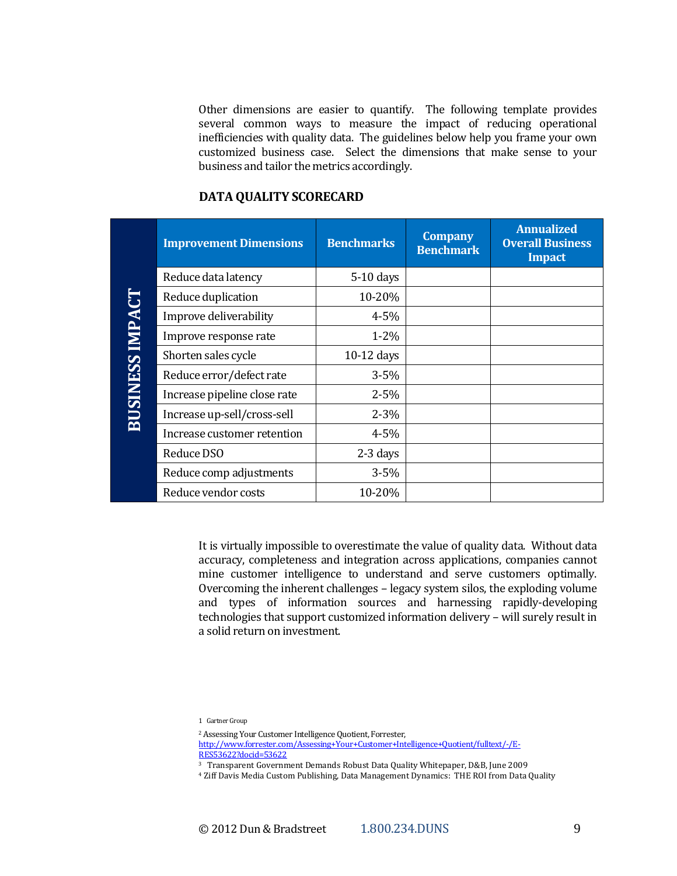Other dimensions are easier to quantify. The following template provides several common ways to measure the impact of reducing operational inefficiencies with quality data. The guidelines below help you frame your own customized business case. Select the dimensions that make sense to your business and tailor the metrics accordingly.

## **DATA QUALITY SCORECARD**

| <b>BUSINESS IMPACT</b> | <b>Improvement Dimensions</b> | <b>Benchmarks</b> | <b>Company</b><br><b>Benchmark</b> | <b>Annualized</b><br><b>Overall Business</b><br><b>Impact</b> |
|------------------------|-------------------------------|-------------------|------------------------------------|---------------------------------------------------------------|
|                        | Reduce data latency           | $5-10$ days       |                                    |                                                               |
|                        | Reduce duplication            | 10-20%            |                                    |                                                               |
|                        | Improve deliverability        | $4 - 5%$          |                                    |                                                               |
|                        | Improve response rate         | $1 - 2\%$         |                                    |                                                               |
|                        | Shorten sales cycle           | 10-12 days        |                                    |                                                               |
|                        | Reduce error/defect rate      | $3 - 5%$          |                                    |                                                               |
|                        | Increase pipeline close rate  | $2 - 5%$          |                                    |                                                               |
|                        | Increase up-sell/cross-sell   | $2 - 3%$          |                                    |                                                               |
|                        | Increase customer retention   | $4 - 5%$          |                                    |                                                               |
|                        | Reduce DSO                    | $2-3$ days        |                                    |                                                               |
|                        | Reduce comp adjustments       | $3 - 5%$          |                                    |                                                               |
|                        | Reduce vendor costs           | 10-20%            |                                    |                                                               |

It is virtually impossible to overestimate the value of quality data. Without data accuracy, completeness and integration across applications, companies cannot mine customer intelligence to understand and serve customers optimally. Overcoming the inherent challenges – legacy system silos, the exploding volume and types of information sources and harnessing rapidly-developing technologies that support customized information delivery – will surely result in a solid return on investment.

1 Gartner Group

<sup>2</sup> Assessing Your Customer Intelligence Quotient, Forrester,

[http://www.forrester.com/Assessing+Your+Customer+Intelligence+Quotient/fulltext/-/E-](http://www.forrester.com/Assessing+Your+Customer+Intelligence+Quotient/fulltext/-/E-RES53622?docid=53622)

[RES53622?docid=53622](http://www.forrester.com/Assessing+Your+Customer+Intelligence+Quotient/fulltext/-/E-RES53622?docid=53622)

3 Transparent Government Demands Robust Data Quality Whitepaper, D&B, June 2009

<sup>4</sup> Ziff Davis Media Custom Publishing, Data Management Dynamics: THE ROI from Data Quality